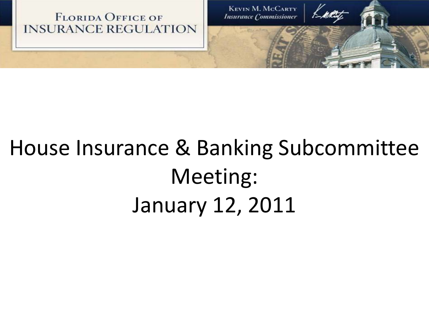

# House Insurance & Banking Subcommittee Meeting: January 12, 2011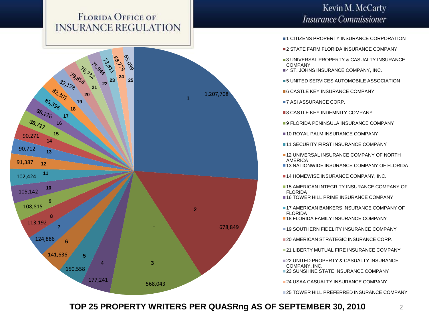

### Kevin M. McCarty **Insurance Commissioner**

- **1 CITIZENS PROPERTY INSURANCE CORPORATION**
- **2 STATE FARM FLORIDA INSURANCE COMPANY**
- **3 UNIVERSAL PROPERTY & CASUALTY INSURANCE** COMPANY
- **4 ST. JOHNS INSURANCE COMPANY, INC.**
- 5 UNITED SERVICES AUTOMOBILE ASSOCIATION
- **6 CASTLE KEY INSURANCE COMPANY**
- **7 ASI ASSURANCE CORP.**
- **8 CASTLE KEY INDEMNITY COMPANY**
- **9 FLORIDA PENINSULA INSURANCE COMPANY**
- **10 ROYAL PALM INSURANCE COMPANY**
- **11 SECURITY FIRST INSURANCE COMPANY**
- **12 UNIVERSAL INSURANCE COMPANY OF NORTH** AMERICA
- **13 NATIONWIDE INSURANCE COMPANY OF FLORIDA**

**14 HOMEWISE INSURANCE COMPANY, INC.** 

- **15 AMERICAN INTEGRITY INSURANCE COMPANY OF** FLORIDA
- **16 TOWER HILL PRIME INSURANCE COMPANY**
- **17 AMERICAN BANKERS INSURANCE COMPANY OF** FLORIDA
- **18 FLORIDA FAMILY INSURANCE COMPANY**
- **19 SOUTHERN FIDELITY INSURANCE COMPANY**
- **20 AMERICAN STRATEGIC INSURANCE CORP.**
- **21 LIBERTY MUTUAL FIRE INSURANCE COMPANY**
- **22 UNITED PROPERTY & CASUALTY INSURANCE** COMPANY, INC.
- **23 SUNSHINE STATE INSURANCE COMPANY**
- **24 USAA CASUALTY INSURANCE COMPANY**

**25 TOWER HILL PREFERRED INSURANCE COMPANY** 

**TOP 25 PROPERTY WRITERS PER QUASRng AS OF SEPTEMBER 30, 2010**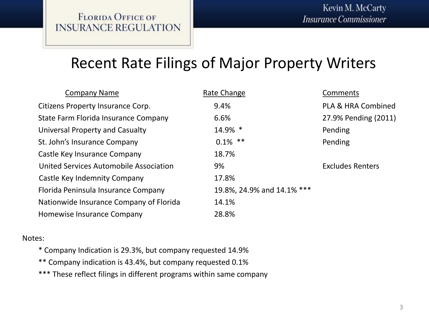## Recent Rate Filings of Major Property Writers

| <b>Company Name</b>                     | Rate Change                | Comments                      |
|-----------------------------------------|----------------------------|-------------------------------|
| Citizens Property Insurance Corp.       | 9.4%                       | <b>PLA &amp; HRA Combined</b> |
| State Farm Florida Insurance Company    | 6.6%                       | 27.9% Pending (2011)          |
| Universal Property and Casualty         | 14.9% *                    | Pending                       |
| St. John's Insurance Company            | $0.1\%$ **                 | Pending                       |
| Castle Key Insurance Company            | 18.7%                      |                               |
| United Services Automobile Association  | 9%                         | <b>Excludes Renters</b>       |
| Castle Key Indemnity Company            | 17.8%                      |                               |
| Florida Peninsula Insurance Company     | 19.8%, 24.9% and 14.1% *** |                               |
| Nationwide Insurance Company of Florida | 14.1%                      |                               |
| Homewise Insurance Company              | 28.8%                      |                               |

#### Notes:

\* Company Indication is 29.3%, but company requested 14.9%

- \*\* Company indication is 43.4%, but company requested 0.1%
- \*\*\* These reflect filings in different programs within same company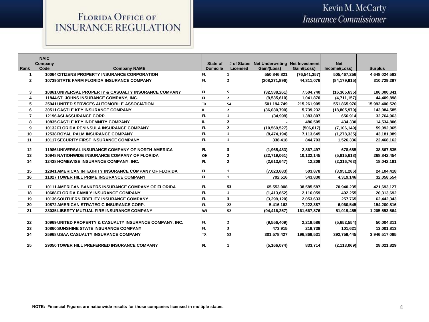|                | <b>NAIC</b>     |                                                              |                             | # of States    | Net Underwriting | <b>Net Investment</b> | <b>Net</b>     |                |
|----------------|-----------------|--------------------------------------------------------------|-----------------------------|----------------|------------------|-----------------------|----------------|----------------|
| Rank           | Company<br>Code | <b>Company NAME</b>                                          | State of<br><b>Domicile</b> | Licensed       | Gain/(Loss)      | Gain/(Loss)           | Income/(Loss)  | <b>Surplus</b> |
| -1             |                 | <b>10064 CITIZENS PROPERTY INSURANCE CORPORATION</b>         | FL.                         | $\mathbf{1}$   | 550,846,821      | (76, 541, 357)        | 505,467,256    | 4,648,024,583  |
| $\overline{2}$ |                 | <b>10739 STATE FARM FLORIDA INSURANCE COMPANY</b>            | FL.                         | $\overline{2}$ | (208, 271, 896)  | 44,311,076            | (84, 179, 915) | 310,729,297    |
|                |                 |                                                              |                             |                |                  |                       |                |                |
| $\mathbf{3}$   |                 | 10861 UNIVERSAL PROPERTY & CASUALTY INSURANCE COMPANY        | FL.                         | 5              | (32,538,261)     | 7,504,740             | (16, 365, 635) | 106,000,341    |
| 4              |                 | 11844 ST. JOHNS INSURANCE COMPANY, INC.                      | FL.                         | $\overline{2}$ | (9,535,610)      | 1,041,870             | (4,711,157)    | 44,409,898     |
| 5              |                 | <b>25941 UNITED SERVICES AUTOMOBILE ASSOCIATION</b>          | TX                          | 54             | 501,194,749      | 215,261,905           | 551,865,976    | 15,992,400,520 |
| 6              |                 | <b>30511 CASTLE KEY INSURANCE COMPANY</b>                    | IL.                         | $\overline{2}$ | (36,030,790)     | 5,739,232             | (18, 805, 979) | 143,084,585    |
| $\overline{7}$ |                 | 12196 ASI ASSURANCE CORP.                                    | <b>FL</b>                   | 1              | (34,999)         | 1,383,807             | 656.914        | 32,764,963     |
| 8              |                 | <b>10835 CASTLE KEY INDEMNITY COMPANY</b>                    | IL.                         | $\overline{2}$ |                  | 486,505               | 434,330        | 14,534,806     |
| 9              |                 | <b>10132 FLORIDA PENINSULA INSURANCE COMPANY</b>             | FL.                         | $\overline{2}$ | (10, 569, 527)   | (506, 017)            | (7, 106, 149)  | 59,092,065     |
| 10             |                 | <b>12538 ROYAL PALM INSURANCE COMPANY</b>                    | FL                          | 1              | (8,474,194)      | 7,113,645             | (1, 278, 335)  | 43,181,089     |
| 11             |                 | <b>10117 SECURITY FIRST INSURANCE COMPANY</b>                | FL.                         | 1              | 338,418          | 844,793               | 1,526,336      | 22,468,162     |
| 12             |                 | 11986 UNIVERSAL INSURANCE COMPANY OF NORTH AMERICA           | FL.                         | з              | (1,965,483)      | 2,867,497             | 678.685        | 38,867,535     |
| 13             |                 | <b>10948 NATIONWIDE INSURANCE COMPANY OF FLORIDA</b>         | OН                          | $\overline{2}$ | (22,719,061)     | 10,132,145            | (5,815,618)    | 268,842,454    |
| 14             |                 | 12438 HOMEWISE INSURANCE COMPANY, INC.                       | FL.                         | $\overline{2}$ | (2,613,647)      | 12,209                | (2,316,763)    | 18,042,181     |
| 15             |                 | <b>12841 AMERICAN INTEGRITY INSURANCE COMPANY OF FLORIDA</b> | FL.                         |                | (7,023,683)      | 503,878               | (3,951,286)    | 24,104,418     |
| 16             |                 | <b>11027 TOWER HILL PRIME INSURANCE COMPANY</b>              | FL.                         | $\mathbf{1}$   | 792,516          | 543,830               | 4,319,146      | 32,058,554     |
|                |                 |                                                              |                             |                |                  |                       |                |                |
| 17             |                 | <b>10111 AMERICAN BANKERS INSURANCE COMPANY OF FLORIDA</b>   | FL.                         | 53             | 65,553,008       | 38,585,587            | 70,940,235     | 421,693,127    |
| 18             |                 | <b>10688 FLORIDA FAMILY INSURANCE COMPANY</b>                | FL.                         | 1              | (1, 413, 652)    | 2,116,059             | 492,255        | 20,313,692     |
| 19             |                 | <b>10136 SOUTHERN FIDELITY INSURANCE COMPANY</b>             | FL.                         | 3              | (3,299,120)      | 2,053,633             | 257,765        | 62,442,343     |
| 20             |                 | <b>10872 AMERICAN STRATEGIC INSURANCE CORP.</b>              | FL                          | 22             | 5,416,162        | 7,222,387             | 6,960,545      | 154,200,816    |
| 21             |                 | 23035LIBERTY MUTUAL FIRE INSURANCE COMPANY                   | WI                          | 52             | (94, 416, 257)   | 161,667,876           | 51,019,455     | 1,205,553,564  |
|                |                 |                                                              |                             |                |                  |                       |                |                |
| 22             |                 | 10969 UNITED PROPERTY & CASUALTY INSURANCE COMPANY, INC.     | FL.                         | $\overline{2}$ | (9,556,409)      | 2,219,586             | (5,652,554)    | 50,004,311     |
| 23             |                 | <b>10860 SUNSHINE STATE INSURANCE COMPANY</b>                | FL                          | 3              | 473,915          | 219,738               | 101,621        | 13,001,813     |
| 24             |                 | <b>25968 USAA CASUALTY INSURANCE COMPANY</b>                 | TX                          | 53             | 301,578,427      | 196,869,531           | 392,759,445    | 3,946,517,085  |
| 25             |                 | 29050 TOWER HILL PREFERRED INSURANCE COMPANY                 | FL.                         |                | (5, 166, 074)    | 833,714               | (2, 113, 069)  | 28,021,829     |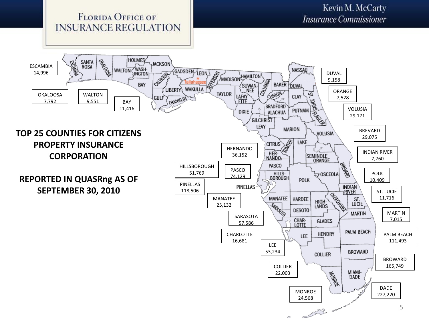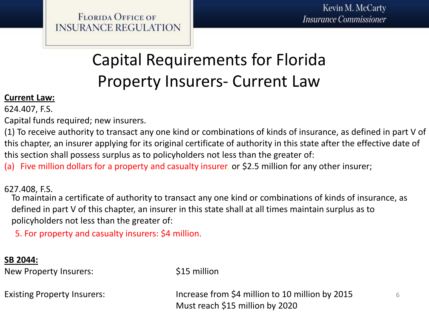## Capital Requirements for Florida Property Insurers- Current Law

### **Current Law:**

624.407, F.S.

Capital funds required; new insurers.

(1) To receive authority to transact any one kind or combinations of kinds of insurance, as defined in part V of this chapter, an insurer applying for its original certificate of authority in this state after the effective date of this section shall possess surplus as to policyholders not less than the greater of:

(a) Five million dollars for a property and casualty insurer, or \$2.5 million for any other insurer;

627.408, F.S.

To maintain a certificate of authority to transact any one kind or combinations of kinds of insurance, as defined in part V of this chapter, an insurer in this state shall at all times maintain surplus as to policyholders not less than the greater of:

5. For property and casualty insurers: \$4 million.

### **SB 2044:**

New Property Insurers:  $$15$  million

Existing Property Insurers: Increase from \$4 million to 10 million by 2015 Must reach \$15 million by 2020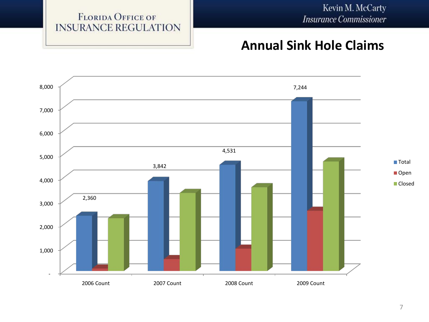### **Annual Sink Hole Claims**

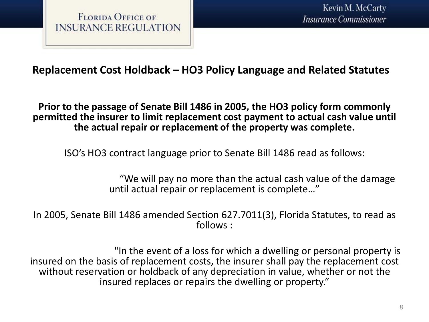### **Replacement Cost Holdback – HO3 Policy Language and Related Statutes**

**Prior to the passage of Senate Bill 1486 in 2005, the HO3 policy form commonly permitted the insurer to limit replacement cost payment to actual cash value until the actual repair or replacement of the property was complete.** 

ISO's HO3 contract language prior to Senate Bill 1486 read as follows:

"We will pay no more than the actual cash value of the damage until actual repair or replacement is complete…"

In 2005, Senate Bill 1486 amended Section 627.7011(3), Florida Statutes, to read as follows :

"In the event of a loss for which a dwelling or personal property is insured on the basis of replacement costs, the insurer shall pay the replacement cost without reservation or holdback of any depreciation in value, whether or not the insured replaces or repairs the dwelling or property."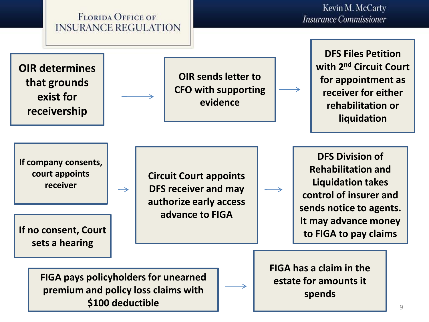

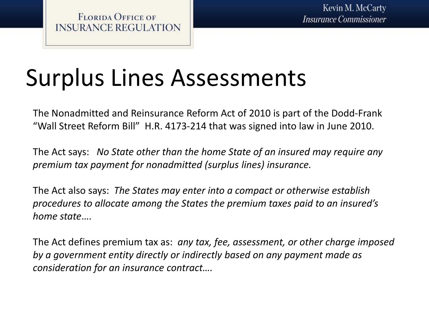# Surplus Lines Assessments

The Nonadmitted and Reinsurance Reform Act of 2010 is part of the Dodd-Frank "Wall Street Reform Bill" H.R. 4173-214 that was signed into law in June 2010.

The Act says: *No State other than the home State of an insured may require any premium tax payment for nonadmitted (surplus lines) insurance.*

The Act also says: *The States may enter into a compact or otherwise establish procedures to allocate among the States the premium taxes paid to an insured's home state*….

The Act defines premium tax as: *any tax, fee, assessment, or other charge imposed by a government entity directly or indirectly based on any payment made as consideration for an insurance contract….*